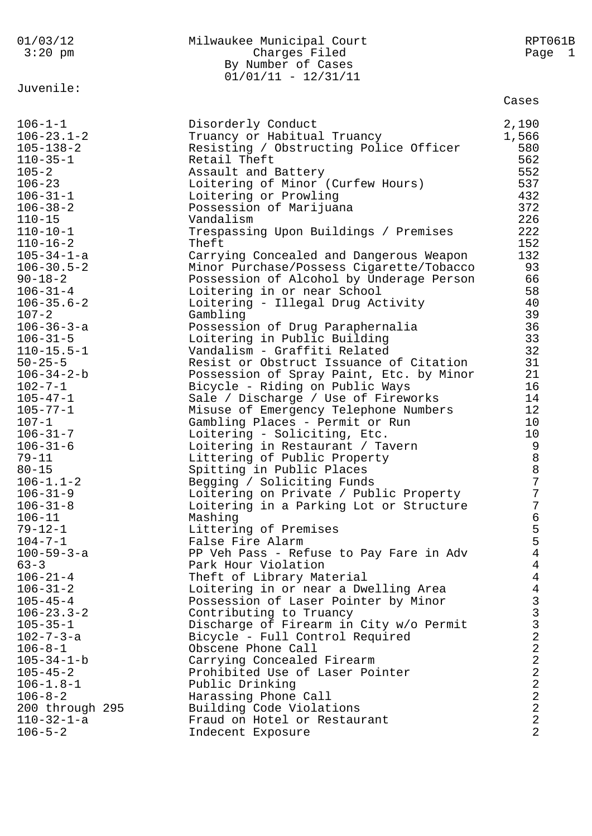| 01/03/12<br>$3:20$ pm                 | Milwaukee Municipal Court<br>Charges Filed<br>By Number of Cases<br>$01/01/11 - 12/31/11$ | RPT061B<br>Page 1                     |
|---------------------------------------|-------------------------------------------------------------------------------------------|---------------------------------------|
| Juvenile:                             |                                                                                           | Cases                                 |
| $106 - 1 - 1$                         | Disorderly Conduct                                                                        | 2,190                                 |
| $106 - 23.1 - 2$                      | Truancy or Habitual Truancy                                                               | 1,566                                 |
| $105 - 138 - 2$                       | Resisting / Obstructing Police Officer                                                    | 580                                   |
| $110 - 35 - 1$                        | Retail Theft                                                                              | 562                                   |
| $105 - 2$                             | Assault and Battery                                                                       | 552                                   |
| $106 - 23$                            | Loitering of Minor (Curfew Hours)                                                         | 537                                   |
| $106 - 31 - 1$                        | Loitering or Prowling                                                                     | 432                                   |
| $106 - 38 - 2$                        | Possession of Marijuana                                                                   | 372                                   |
| $110 - 15$                            | Vandalism                                                                                 | 226                                   |
| $110 - 10 - 1$                        | Trespassing Upon Buildings / Premises                                                     | 222                                   |
| $110 - 16 - 2$                        | Theft                                                                                     | 152                                   |
| $105 - 34 - 1 - a$                    | Carrying Concealed and Dangerous Weapon                                                   | 132                                   |
| $106 - 30.5 - 2$                      | Minor Purchase/Possess Cigarette/Tobacco                                                  | 93                                    |
| $90 - 18 - 2$                         | Possession of Alcohol by Underage Person                                                  | 66                                    |
| $106 - 31 - 4$                        | Loitering in or near School                                                               | 58                                    |
| $106 - 35.6 - 2$                      | Loitering - Illegal Drug Activity                                                         | 40                                    |
| $107 - 2$                             | Gambling                                                                                  | 39                                    |
| $106 - 36 - 3 - a$<br>$106 - 31 - 5$  | Possession of Drug Paraphernalia                                                          | 36<br>33                              |
| $110 - 15.5 - 1$                      | Loitering in Public Building<br>Vandalism - Graffiti Related                              | 32                                    |
| $50 - 25 - 5$                         | Resist or Obstruct Issuance of Citation                                                   | 31                                    |
| $106 - 34 - 2 - b$                    | Possession of Spray Paint, Etc. by Minor                                                  | 21                                    |
| $102 - 7 - 1$                         | Bicycle - Riding on Public Ways                                                           | 16                                    |
| $105 - 47 - 1$                        | Sale / Discharge / Use of Fireworks                                                       | 14                                    |
| $105 - 77 - 1$                        | Misuse of Emergency Telephone Numbers                                                     | 12                                    |
| $107 - 1$                             | Gambling Places - Permit or Run                                                           | 10                                    |
| $106 - 31 - 7$                        | Loitering - Soliciting, Etc.                                                              | 10                                    |
| $106 - 31 - 6$                        | Loitering in Restaurant / Tavern                                                          | 9                                     |
| $79 - 11$                             | Littering of Public Property                                                              | $\,8\,$                               |
| $80 - 15$                             | Spitting in Public Places                                                                 | 8                                     |
| $106 - 1.1 - 2$                       | Begging / Soliciting Funds                                                                | 7                                     |
| $106 - 31 - 9$                        | Loitering on Private / Public Property                                                    | 7                                     |
| $106 - 31 - 8$                        | Loitering in a Parking Lot or Structure                                                   | 7                                     |
| $106 - 11$                            | Mashing                                                                                   | 6                                     |
| $79 - 12 - 1$                         | Littering of Premises                                                                     | 5                                     |
| $104 - 7 - 1$                         | False Fire Alarm                                                                          | 5                                     |
| $100 - 59 - 3 - a$                    | PP Veh Pass - Refuse to Pay Fare in Adv                                                   | 4                                     |
| $63 - 3$                              | Park Hour Violation                                                                       | $\overline{4}$                        |
| $106 - 21 - 4$                        | Theft of Library Material                                                                 | $\overline{4}$                        |
| $106 - 31 - 2$                        | Loitering in or near a Dwelling Area                                                      | $\overline{4}$                        |
| $105 - 45 - 4$                        | Possession of Laser Pointer by Minor                                                      | $\begin{array}{c} 3 \\ 3 \end{array}$ |
| $106 - 23.3 - 2$                      | Contributing to Truancy                                                                   |                                       |
| $105 - 35 - 1$                        | Discharge of Firearm in City w/o Permit                                                   |                                       |
| $102 - 7 - 3 - a$                     | Bicycle - Full Control Required                                                           | $\overline{2}$                        |
| $106 - 8 - 1$                         | Obscene Phone Call                                                                        | $\overline{2}$                        |
| $105 - 34 - 1 - b$                    | Carrying Concealed Firearm                                                                | 2                                     |
| $105 - 45 - 2$                        | Prohibited Use of Laser Pointer                                                           | 2<br>$\overline{2}$                   |
| $106 - 1.8 - 1$                       | Public Drinking                                                                           | $\overline{c}$                        |
| $106 - 8 - 2$                         | Harassing Phone Call                                                                      | $\overline{c}$                        |
| 200 through 295<br>$110 - 32 - 1 - a$ | Building Code Violations<br>Fraud on Hotel or Restaurant                                  | $\overline{2}$                        |
| $106 - 5 - 2$                         | Indecent Exposure                                                                         | 2                                     |
|                                       |                                                                                           |                                       |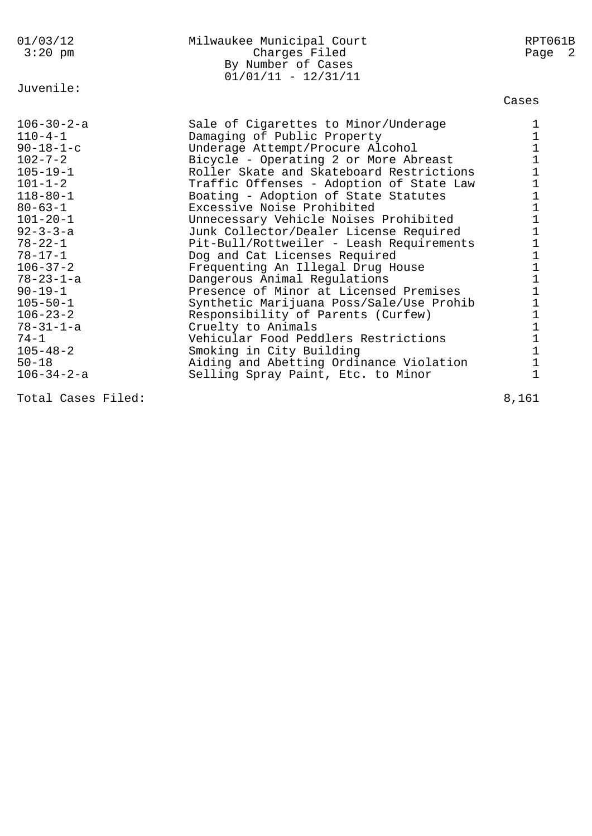| 01/03/12<br>$3:20$ pm                                                                                                                                                                                                                                                                                                                                                                                     | Milwaukee Municipal Court<br>Charges Filed<br>By Number of Cases<br>$01/01/11 - 12/31/11$                                                                                                                                                                                                                                                                                                                                                                                                                                                                                                                                                                                                                                                                                                                                                                  | RPT061B<br>Page 2                                                                                                                                                                                                                                                                                                                |
|-----------------------------------------------------------------------------------------------------------------------------------------------------------------------------------------------------------------------------------------------------------------------------------------------------------------------------------------------------------------------------------------------------------|------------------------------------------------------------------------------------------------------------------------------------------------------------------------------------------------------------------------------------------------------------------------------------------------------------------------------------------------------------------------------------------------------------------------------------------------------------------------------------------------------------------------------------------------------------------------------------------------------------------------------------------------------------------------------------------------------------------------------------------------------------------------------------------------------------------------------------------------------------|----------------------------------------------------------------------------------------------------------------------------------------------------------------------------------------------------------------------------------------------------------------------------------------------------------------------------------|
| Juvenile:                                                                                                                                                                                                                                                                                                                                                                                                 |                                                                                                                                                                                                                                                                                                                                                                                                                                                                                                                                                                                                                                                                                                                                                                                                                                                            | Cases                                                                                                                                                                                                                                                                                                                            |
| $106 - 30 - 2 - a$<br>$110 - 4 - 1$<br>$90 - 18 - 1 - c$<br>$102 - 7 - 2$<br>$105 - 19 - 1$<br>$101 - 1 - 2$<br>$118 - 80 - 1$<br>$80 - 63 - 1$<br>$101 - 20 - 1$<br>$92 - 3 - 3 - a$<br>$78 - 22 - 1$<br>$78 - 17 - 1$<br>$106 - 37 - 2$<br>$78 - 23 - 1 - a$<br>$90 - 19 - 1$<br>$105 - 50 - 1$<br>$106 - 23 - 2$<br>$78 - 31 - 1 - a$<br>$74 - 1$<br>$105 - 48 - 2$<br>$50 - 18$<br>$106 - 34 - 2 - a$ | Sale of Cigarettes to Minor/Underage<br>Damaging of Public Property<br>Underage Attempt/Procure Alcohol<br>Bicycle - Operating 2 or More Abreast<br>Roller Skate and Skateboard Restrictions<br>Traffic Offenses - Adoption of State Law<br>Boating - Adoption of State Statutes<br>Excessive Noise Prohibited<br>Unnecessary Vehicle Noises Prohibited<br>Junk Collector/Dealer License Required<br>Pit-Bull/Rottweiler - Leash Requirements<br>Dog and Cat Licenses Required<br>Frequenting An Illegal Drug House<br>Dangerous Animal Regulations<br>Presence of Minor at Licensed Premises<br>Synthetic Marijuana Poss/Sale/Use Prohib<br>Responsibility of Parents (Curfew)<br>Cruelty to Animals<br>Vehicular Food Peddlers Restrictions<br>Smoking in City Building<br>Aiding and Abetting Ordinance Violation<br>Selling Spray Paint, Etc. to Minor | 1<br>1<br>$\mathbf 1$<br>$\overline{1}$<br>$\overline{1}$<br>$\overline{1}$<br>$\overline{1}$<br>$\overline{1}$<br>$\overline{1}$<br>$\overline{1}$<br>$\overline{1}$<br>$\overline{1}$<br>$\overline{1}$<br>$\mathbf 1$<br>$\overline{1}$<br>$\frac{1}{1}$<br>$\frac{1}{1}$<br>$\overline{1}$<br>$\mathbf{1}$<br>$\overline{1}$ |
|                                                                                                                                                                                                                                                                                                                                                                                                           |                                                                                                                                                                                                                                                                                                                                                                                                                                                                                                                                                                                                                                                                                                                                                                                                                                                            |                                                                                                                                                                                                                                                                                                                                  |

Total Cases Filed: 8,161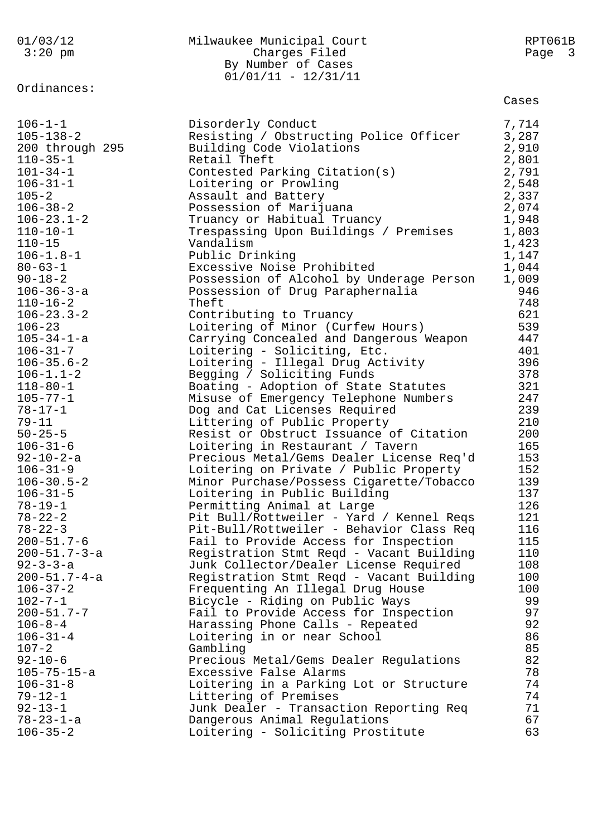| 01/03/12<br>$3:20$ pm              | Milwaukee Municipal Court<br>Charges Filed<br>By Number of Cases  | RPT061B<br>Page 3 |
|------------------------------------|-------------------------------------------------------------------|-------------------|
| Ordinances:                        | $01/01/11 - 12/31/11$                                             |                   |
|                                    |                                                                   | Cases             |
| $106 - 1 - 1$                      | Disorderly Conduct                                                | 7,714             |
| $105 - 138 - 2$                    | Resisting / Obstructing Police Officer                            | 3,287             |
| 200 through 295                    | Building Code Violations                                          | 2,910             |
| $110 - 35 - 1$                     | Retail Theft                                                      | 2,801             |
| $101 - 34 - 1$                     | Contested Parking Citation(s)                                     | 2,791             |
| $106 - 31 - 1$<br>$105 - 2$        | Loitering or Prowling                                             | 2,548<br>2,337    |
| $106 - 38 - 2$                     | Assault and Battery<br>Possession of Marijuana                    | 2,074             |
| $106 - 23.1 - 2$                   | Truancy or Habitual Truancy                                       | 1,948             |
| $110 - 10 - 1$                     | Trespassing Upon Buildings / Premises                             | 1,803             |
| $110 - 15$                         | Vandalism                                                         | 1,423             |
| $106 - 1.8 - 1$                    | Public Drinking                                                   | 1,147             |
| $80 - 63 - 1$                      | Excessive Noise Prohibited                                        | 1,044             |
| $90 - 18 - 2$                      | Possession of Alcohol by Underage Person                          | 1,009             |
| $106 - 36 - 3 - a$                 | Possession of Drug Paraphernalia                                  | 946               |
| $110 - 16 - 2$                     | Theft                                                             | 748               |
| $106 - 23.3 - 2$                   | Contributing to Truancy                                           | 621               |
| $106 - 23$                         | Loitering of Minor (Curfew Hours)                                 | 539               |
| $105 - 34 - 1 - a$                 | Carrying Concealed and Dangerous Weapon                           | 447<br>401        |
| $106 - 31 - 7$<br>$106 - 35.6 - 2$ | Loitering - Soliciting, Etc.<br>Loitering - Illegal Drug Activity | 396               |
| $106 - 1.1 - 2$                    | Begging / Soliciting Funds                                        | 378               |
| $118 - 80 - 1$                     | Boating - Adoption of State Statutes                              | 321               |
| $105 - 77 - 1$                     | Misuse of Emergency Telephone Numbers                             | 247               |
| $78 - 17 - 1$                      | Dog and Cat Licenses Required                                     | 239               |
| $79 - 11$                          | Littering of Public Property                                      | 210               |
| $50 - 25 - 5$                      | Resist or Obstruct Issuance of Citation                           | 200               |
| $106 - 31 - 6$                     | Loitering in Restaurant / Tavern                                  | 165               |
| $92 - 10 - 2 - a$                  | Precious Metal/Gems Dealer License Req'd                          | 153               |
| $106 - 31 - 9$                     | Loitering on Private / Public Property                            | 152               |
| $106 - 30.5 - 2$                   | Minor Purchase/Possess Cigarette/Tobacco                          | 139               |
| $106 - 31 - 5$<br>$78 - 19 - 1$    | Loitering in Public Building<br>Permitting Animal at Large        | 137<br>126        |
| $78 - 22 - 2$                      | Pit Bull/Rottweiler - Yard / Kennel Reqs                          | 121               |
| $78 - 22 - 3$                      | Pit-Bull/Rottweiler - Behavior Class Req                          | 116               |
| $200 - 51.7 - 6$                   | Fail to Provide Access for Inspection                             | 115               |
| $200 - 51.7 - 3 - a$               | Registration Stmt Reqd - Vacant Building                          | 110               |
| $92 - 3 - 3 - a$                   | Junk Collector/Dealer License Required                            | 108               |
| $200 - 51.7 - 4 - a$               | Registration Stmt Reqd - Vacant Building                          | 100               |
| $106 - 37 - 2$                     | Frequenting An Illegal Drug House                                 | 100               |
| $102 - 7 - 1$                      | Bicycle - Riding on Public Ways                                   | 99                |
| $200 - 51.7 - 7$                   | Fail to Provide Access for Inspection                             | 97                |
| $106 - 8 - 4$<br>$106 - 31 - 4$    | Harassing Phone Calls - Repeated                                  | 92<br>86          |
| $107 - 2$                          | Loitering in or near School<br>Gambling                           | 85                |
| $92 - 10 - 6$                      | Precious Metal/Gems Dealer Regulations                            | 82                |
| $105 - 75 - 15 - a$                | Excessive False Alarms                                            | 78                |
| $106 - 31 - 8$                     | Loitering in a Parking Lot or Structure                           | 74                |
| $79 - 12 - 1$                      | Littering of Premises                                             | 74                |
| $92 - 13 - 1$                      | Junk Dealer - Transaction Reporting Req                           | 71                |
| $78 - 23 - 1 - a$                  | Dangerous Animal Regulations                                      | 67                |
| $106 - 35 - 2$                     | Loitering - Soliciting Prostitute                                 | 63                |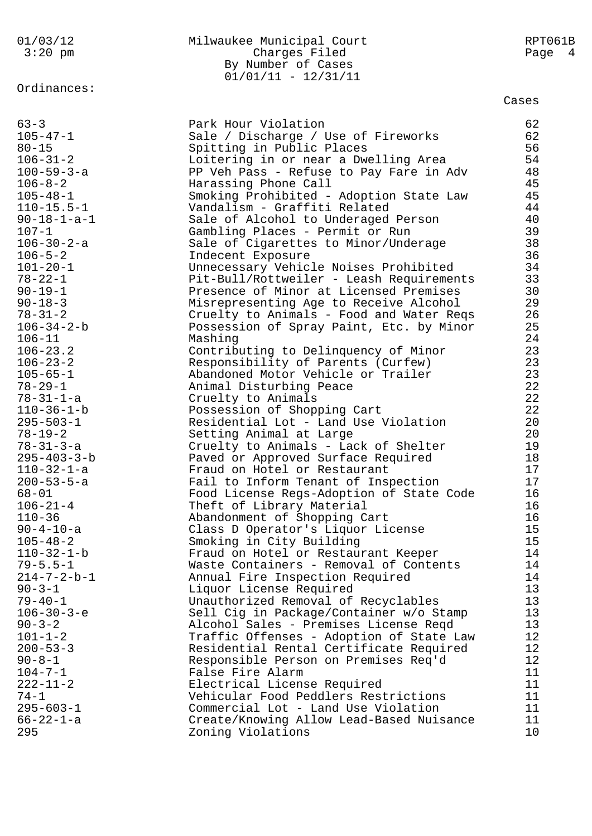Ordinances:

### 01/03/12 Milwaukee Municipal Court RPT061B 3:20 pm Charges Filed Page 4 By Number of Cases 01/01/11 - 12/31/11

| 62<br>Park Hour Violation<br>62<br>Sale / Discharge / Use of Fireworks<br>56<br>Spitting in Public Places<br>54<br>Loitering in or near a Dwelling Area<br>PP Veh Pass - Refuse to Pay Fare in Adv<br>48<br>45<br>Harassing Phone Call<br>45<br>Smoking Prohibited - Adoption State Law<br>44<br>Vandalism - Graffiti Related<br>Sale of Alcohol to Underaged Person<br>40<br>39<br>Gambling Places - Permit or Run<br>38<br>Sale of Cigarettes to Minor/Underage<br>36<br>Indecent Exposure<br>34<br>Unnecessary Vehicle Noises Prohibited<br>33<br>Pit-Bull/Rottweiler - Leash Requirements<br>Presence of Minor at Licensed Premises<br>30<br>Misrepresenting Age to Receive Alcohol<br>29<br>Cruelty to Animals - Food and Water Reqs<br>26<br>25<br>Possession of Spray Paint, Etc. by Minor<br>24<br>Mashing<br>Contributing to Delinquency of Minor<br>23<br>$106 - 23.2$<br>23<br>Responsibility of Parents (Curfew)<br>23<br>$105 - 65 - 1$<br>Abandoned Motor Vehicle or Trailer<br>22<br>Animal Disturbing Peace<br>22<br>$78 - 31 - 1 - a$<br>Cruelty to Animals<br>22<br>$110 - 36 - 1 - b$<br>Possession of Shopping Cart<br>20<br>$295 - 503 - 1$<br>Residential Lot - Land Use Violation<br>$78 - 19 - 2$<br>Setting Animal at Large<br>20<br>19<br>$78 - 31 - 3 - a$<br>Cruelty to Animals - Lack of Shelter<br>18<br>$295 - 403 - 3 - b$<br>Paved or Approved Surface Required<br>17<br>$110 - 32 - 1 - a$<br>Fraud on Hotel or Restaurant<br>17<br>$200 - 53 - 5 - a$<br>Fail to Inform Tenant of Inspection<br>16<br>Food License Regs-Adoption of State Code<br>16<br>Theft of Library Material<br>16<br>Abandonment of Shopping Cart<br>15<br>$90 - 4 - 10 - a$<br>Class D Operator's Liquor License<br>15<br>Smoking in City Building<br>$110 - 32 - 1 - b$<br>14<br>Fraud on Hotel or Restaurant Keeper<br>Waste Containers - Removal of Contents<br>14<br>14<br>Annual Fire Inspection Required<br>13<br>Liquor License Required<br>13<br>Unauthorized Removal of Recyclables<br>13<br>Sell Cig in Package/Container w/o Stamp<br>13<br>Alcohol Sales - Premises License Reqd<br>12<br>Traffic Offenses - Adoption of State Law<br>12<br>Residential Rental Certificate Required<br>12<br>Responsible Person on Premises Req'd<br>False Fire Alarm<br>11<br>Electrical License Required<br>11<br>11<br>Vehicular Food Peddlers Restrictions<br>Commercial Lot - Land Use Violation<br>11<br>11<br>Create/Knowing Allow Lead-Based Nuisance<br>10 <sub>1</sub><br>Zoning Violations |                       |  |
|-------------------------------------------------------------------------------------------------------------------------------------------------------------------------------------------------------------------------------------------------------------------------------------------------------------------------------------------------------------------------------------------------------------------------------------------------------------------------------------------------------------------------------------------------------------------------------------------------------------------------------------------------------------------------------------------------------------------------------------------------------------------------------------------------------------------------------------------------------------------------------------------------------------------------------------------------------------------------------------------------------------------------------------------------------------------------------------------------------------------------------------------------------------------------------------------------------------------------------------------------------------------------------------------------------------------------------------------------------------------------------------------------------------------------------------------------------------------------------------------------------------------------------------------------------------------------------------------------------------------------------------------------------------------------------------------------------------------------------------------------------------------------------------------------------------------------------------------------------------------------------------------------------------------------------------------------------------------------------------------------------------------------------------------------------------------------------------------------------------------------------------------------------------------------------------------------------------------------------------------------------------------------------------------------------------------------------------------------------------------------------------------------------------------------------------------------------------------------------------------------------------|-----------------------|--|
|                                                                                                                                                                                                                                                                                                                                                                                                                                                                                                                                                                                                                                                                                                                                                                                                                                                                                                                                                                                                                                                                                                                                                                                                                                                                                                                                                                                                                                                                                                                                                                                                                                                                                                                                                                                                                                                                                                                                                                                                                                                                                                                                                                                                                                                                                                                                                                                                                                                                                                             | $63 - 3$              |  |
|                                                                                                                                                                                                                                                                                                                                                                                                                                                                                                                                                                                                                                                                                                                                                                                                                                                                                                                                                                                                                                                                                                                                                                                                                                                                                                                                                                                                                                                                                                                                                                                                                                                                                                                                                                                                                                                                                                                                                                                                                                                                                                                                                                                                                                                                                                                                                                                                                                                                                                             | $105 - 47 - 1$        |  |
|                                                                                                                                                                                                                                                                                                                                                                                                                                                                                                                                                                                                                                                                                                                                                                                                                                                                                                                                                                                                                                                                                                                                                                                                                                                                                                                                                                                                                                                                                                                                                                                                                                                                                                                                                                                                                                                                                                                                                                                                                                                                                                                                                                                                                                                                                                                                                                                                                                                                                                             | $80 - 15$             |  |
|                                                                                                                                                                                                                                                                                                                                                                                                                                                                                                                                                                                                                                                                                                                                                                                                                                                                                                                                                                                                                                                                                                                                                                                                                                                                                                                                                                                                                                                                                                                                                                                                                                                                                                                                                                                                                                                                                                                                                                                                                                                                                                                                                                                                                                                                                                                                                                                                                                                                                                             | $106 - 31 - 2$        |  |
|                                                                                                                                                                                                                                                                                                                                                                                                                                                                                                                                                                                                                                                                                                                                                                                                                                                                                                                                                                                                                                                                                                                                                                                                                                                                                                                                                                                                                                                                                                                                                                                                                                                                                                                                                                                                                                                                                                                                                                                                                                                                                                                                                                                                                                                                                                                                                                                                                                                                                                             | $100 - 59 - 3 - a$    |  |
|                                                                                                                                                                                                                                                                                                                                                                                                                                                                                                                                                                                                                                                                                                                                                                                                                                                                                                                                                                                                                                                                                                                                                                                                                                                                                                                                                                                                                                                                                                                                                                                                                                                                                                                                                                                                                                                                                                                                                                                                                                                                                                                                                                                                                                                                                                                                                                                                                                                                                                             | $106 - 8 - 2$         |  |
|                                                                                                                                                                                                                                                                                                                                                                                                                                                                                                                                                                                                                                                                                                                                                                                                                                                                                                                                                                                                                                                                                                                                                                                                                                                                                                                                                                                                                                                                                                                                                                                                                                                                                                                                                                                                                                                                                                                                                                                                                                                                                                                                                                                                                                                                                                                                                                                                                                                                                                             | $105 - 48 - 1$        |  |
|                                                                                                                                                                                                                                                                                                                                                                                                                                                                                                                                                                                                                                                                                                                                                                                                                                                                                                                                                                                                                                                                                                                                                                                                                                                                                                                                                                                                                                                                                                                                                                                                                                                                                                                                                                                                                                                                                                                                                                                                                                                                                                                                                                                                                                                                                                                                                                                                                                                                                                             | $110 - 15.5 - 1$      |  |
|                                                                                                                                                                                                                                                                                                                                                                                                                                                                                                                                                                                                                                                                                                                                                                                                                                                                                                                                                                                                                                                                                                                                                                                                                                                                                                                                                                                                                                                                                                                                                                                                                                                                                                                                                                                                                                                                                                                                                                                                                                                                                                                                                                                                                                                                                                                                                                                                                                                                                                             | $90 - 18 - 1 - a - 1$ |  |
|                                                                                                                                                                                                                                                                                                                                                                                                                                                                                                                                                                                                                                                                                                                                                                                                                                                                                                                                                                                                                                                                                                                                                                                                                                                                                                                                                                                                                                                                                                                                                                                                                                                                                                                                                                                                                                                                                                                                                                                                                                                                                                                                                                                                                                                                                                                                                                                                                                                                                                             | $107 - 1$             |  |
|                                                                                                                                                                                                                                                                                                                                                                                                                                                                                                                                                                                                                                                                                                                                                                                                                                                                                                                                                                                                                                                                                                                                                                                                                                                                                                                                                                                                                                                                                                                                                                                                                                                                                                                                                                                                                                                                                                                                                                                                                                                                                                                                                                                                                                                                                                                                                                                                                                                                                                             | $106 - 30 - 2 - a$    |  |
|                                                                                                                                                                                                                                                                                                                                                                                                                                                                                                                                                                                                                                                                                                                                                                                                                                                                                                                                                                                                                                                                                                                                                                                                                                                                                                                                                                                                                                                                                                                                                                                                                                                                                                                                                                                                                                                                                                                                                                                                                                                                                                                                                                                                                                                                                                                                                                                                                                                                                                             | $106 - 5 - 2$         |  |
|                                                                                                                                                                                                                                                                                                                                                                                                                                                                                                                                                                                                                                                                                                                                                                                                                                                                                                                                                                                                                                                                                                                                                                                                                                                                                                                                                                                                                                                                                                                                                                                                                                                                                                                                                                                                                                                                                                                                                                                                                                                                                                                                                                                                                                                                                                                                                                                                                                                                                                             | $101 - 20 - 1$        |  |
|                                                                                                                                                                                                                                                                                                                                                                                                                                                                                                                                                                                                                                                                                                                                                                                                                                                                                                                                                                                                                                                                                                                                                                                                                                                                                                                                                                                                                                                                                                                                                                                                                                                                                                                                                                                                                                                                                                                                                                                                                                                                                                                                                                                                                                                                                                                                                                                                                                                                                                             | $78 - 22 - 1$         |  |
|                                                                                                                                                                                                                                                                                                                                                                                                                                                                                                                                                                                                                                                                                                                                                                                                                                                                                                                                                                                                                                                                                                                                                                                                                                                                                                                                                                                                                                                                                                                                                                                                                                                                                                                                                                                                                                                                                                                                                                                                                                                                                                                                                                                                                                                                                                                                                                                                                                                                                                             | $90 - 19 - 1$         |  |
|                                                                                                                                                                                                                                                                                                                                                                                                                                                                                                                                                                                                                                                                                                                                                                                                                                                                                                                                                                                                                                                                                                                                                                                                                                                                                                                                                                                                                                                                                                                                                                                                                                                                                                                                                                                                                                                                                                                                                                                                                                                                                                                                                                                                                                                                                                                                                                                                                                                                                                             | $90 - 18 - 3$         |  |
|                                                                                                                                                                                                                                                                                                                                                                                                                                                                                                                                                                                                                                                                                                                                                                                                                                                                                                                                                                                                                                                                                                                                                                                                                                                                                                                                                                                                                                                                                                                                                                                                                                                                                                                                                                                                                                                                                                                                                                                                                                                                                                                                                                                                                                                                                                                                                                                                                                                                                                             | $78 - 31 - 2$         |  |
|                                                                                                                                                                                                                                                                                                                                                                                                                                                                                                                                                                                                                                                                                                                                                                                                                                                                                                                                                                                                                                                                                                                                                                                                                                                                                                                                                                                                                                                                                                                                                                                                                                                                                                                                                                                                                                                                                                                                                                                                                                                                                                                                                                                                                                                                                                                                                                                                                                                                                                             | $106 - 34 - 2 - b$    |  |
|                                                                                                                                                                                                                                                                                                                                                                                                                                                                                                                                                                                                                                                                                                                                                                                                                                                                                                                                                                                                                                                                                                                                                                                                                                                                                                                                                                                                                                                                                                                                                                                                                                                                                                                                                                                                                                                                                                                                                                                                                                                                                                                                                                                                                                                                                                                                                                                                                                                                                                             | $106 - 11$            |  |
|                                                                                                                                                                                                                                                                                                                                                                                                                                                                                                                                                                                                                                                                                                                                                                                                                                                                                                                                                                                                                                                                                                                                                                                                                                                                                                                                                                                                                                                                                                                                                                                                                                                                                                                                                                                                                                                                                                                                                                                                                                                                                                                                                                                                                                                                                                                                                                                                                                                                                                             |                       |  |
|                                                                                                                                                                                                                                                                                                                                                                                                                                                                                                                                                                                                                                                                                                                                                                                                                                                                                                                                                                                                                                                                                                                                                                                                                                                                                                                                                                                                                                                                                                                                                                                                                                                                                                                                                                                                                                                                                                                                                                                                                                                                                                                                                                                                                                                                                                                                                                                                                                                                                                             | $106 - 23 - 2$        |  |
|                                                                                                                                                                                                                                                                                                                                                                                                                                                                                                                                                                                                                                                                                                                                                                                                                                                                                                                                                                                                                                                                                                                                                                                                                                                                                                                                                                                                                                                                                                                                                                                                                                                                                                                                                                                                                                                                                                                                                                                                                                                                                                                                                                                                                                                                                                                                                                                                                                                                                                             |                       |  |
|                                                                                                                                                                                                                                                                                                                                                                                                                                                                                                                                                                                                                                                                                                                                                                                                                                                                                                                                                                                                                                                                                                                                                                                                                                                                                                                                                                                                                                                                                                                                                                                                                                                                                                                                                                                                                                                                                                                                                                                                                                                                                                                                                                                                                                                                                                                                                                                                                                                                                                             | $78 - 29 - 1$         |  |
|                                                                                                                                                                                                                                                                                                                                                                                                                                                                                                                                                                                                                                                                                                                                                                                                                                                                                                                                                                                                                                                                                                                                                                                                                                                                                                                                                                                                                                                                                                                                                                                                                                                                                                                                                                                                                                                                                                                                                                                                                                                                                                                                                                                                                                                                                                                                                                                                                                                                                                             |                       |  |
|                                                                                                                                                                                                                                                                                                                                                                                                                                                                                                                                                                                                                                                                                                                                                                                                                                                                                                                                                                                                                                                                                                                                                                                                                                                                                                                                                                                                                                                                                                                                                                                                                                                                                                                                                                                                                                                                                                                                                                                                                                                                                                                                                                                                                                                                                                                                                                                                                                                                                                             |                       |  |
|                                                                                                                                                                                                                                                                                                                                                                                                                                                                                                                                                                                                                                                                                                                                                                                                                                                                                                                                                                                                                                                                                                                                                                                                                                                                                                                                                                                                                                                                                                                                                                                                                                                                                                                                                                                                                                                                                                                                                                                                                                                                                                                                                                                                                                                                                                                                                                                                                                                                                                             |                       |  |
|                                                                                                                                                                                                                                                                                                                                                                                                                                                                                                                                                                                                                                                                                                                                                                                                                                                                                                                                                                                                                                                                                                                                                                                                                                                                                                                                                                                                                                                                                                                                                                                                                                                                                                                                                                                                                                                                                                                                                                                                                                                                                                                                                                                                                                                                                                                                                                                                                                                                                                             |                       |  |
|                                                                                                                                                                                                                                                                                                                                                                                                                                                                                                                                                                                                                                                                                                                                                                                                                                                                                                                                                                                                                                                                                                                                                                                                                                                                                                                                                                                                                                                                                                                                                                                                                                                                                                                                                                                                                                                                                                                                                                                                                                                                                                                                                                                                                                                                                                                                                                                                                                                                                                             |                       |  |
|                                                                                                                                                                                                                                                                                                                                                                                                                                                                                                                                                                                                                                                                                                                                                                                                                                                                                                                                                                                                                                                                                                                                                                                                                                                                                                                                                                                                                                                                                                                                                                                                                                                                                                                                                                                                                                                                                                                                                                                                                                                                                                                                                                                                                                                                                                                                                                                                                                                                                                             |                       |  |
|                                                                                                                                                                                                                                                                                                                                                                                                                                                                                                                                                                                                                                                                                                                                                                                                                                                                                                                                                                                                                                                                                                                                                                                                                                                                                                                                                                                                                                                                                                                                                                                                                                                                                                                                                                                                                                                                                                                                                                                                                                                                                                                                                                                                                                                                                                                                                                                                                                                                                                             |                       |  |
|                                                                                                                                                                                                                                                                                                                                                                                                                                                                                                                                                                                                                                                                                                                                                                                                                                                                                                                                                                                                                                                                                                                                                                                                                                                                                                                                                                                                                                                                                                                                                                                                                                                                                                                                                                                                                                                                                                                                                                                                                                                                                                                                                                                                                                                                                                                                                                                                                                                                                                             |                       |  |
|                                                                                                                                                                                                                                                                                                                                                                                                                                                                                                                                                                                                                                                                                                                                                                                                                                                                                                                                                                                                                                                                                                                                                                                                                                                                                                                                                                                                                                                                                                                                                                                                                                                                                                                                                                                                                                                                                                                                                                                                                                                                                                                                                                                                                                                                                                                                                                                                                                                                                                             | $68 - 01$             |  |
|                                                                                                                                                                                                                                                                                                                                                                                                                                                                                                                                                                                                                                                                                                                                                                                                                                                                                                                                                                                                                                                                                                                                                                                                                                                                                                                                                                                                                                                                                                                                                                                                                                                                                                                                                                                                                                                                                                                                                                                                                                                                                                                                                                                                                                                                                                                                                                                                                                                                                                             | $106 - 21 - 4$        |  |
|                                                                                                                                                                                                                                                                                                                                                                                                                                                                                                                                                                                                                                                                                                                                                                                                                                                                                                                                                                                                                                                                                                                                                                                                                                                                                                                                                                                                                                                                                                                                                                                                                                                                                                                                                                                                                                                                                                                                                                                                                                                                                                                                                                                                                                                                                                                                                                                                                                                                                                             | $110 - 36$            |  |
|                                                                                                                                                                                                                                                                                                                                                                                                                                                                                                                                                                                                                                                                                                                                                                                                                                                                                                                                                                                                                                                                                                                                                                                                                                                                                                                                                                                                                                                                                                                                                                                                                                                                                                                                                                                                                                                                                                                                                                                                                                                                                                                                                                                                                                                                                                                                                                                                                                                                                                             |                       |  |
|                                                                                                                                                                                                                                                                                                                                                                                                                                                                                                                                                                                                                                                                                                                                                                                                                                                                                                                                                                                                                                                                                                                                                                                                                                                                                                                                                                                                                                                                                                                                                                                                                                                                                                                                                                                                                                                                                                                                                                                                                                                                                                                                                                                                                                                                                                                                                                                                                                                                                                             | $105 - 48 - 2$        |  |
|                                                                                                                                                                                                                                                                                                                                                                                                                                                                                                                                                                                                                                                                                                                                                                                                                                                                                                                                                                                                                                                                                                                                                                                                                                                                                                                                                                                                                                                                                                                                                                                                                                                                                                                                                                                                                                                                                                                                                                                                                                                                                                                                                                                                                                                                                                                                                                                                                                                                                                             |                       |  |
|                                                                                                                                                                                                                                                                                                                                                                                                                                                                                                                                                                                                                                                                                                                                                                                                                                                                                                                                                                                                                                                                                                                                                                                                                                                                                                                                                                                                                                                                                                                                                                                                                                                                                                                                                                                                                                                                                                                                                                                                                                                                                                                                                                                                                                                                                                                                                                                                                                                                                                             | $79 - 5.5 - 1$        |  |
|                                                                                                                                                                                                                                                                                                                                                                                                                                                                                                                                                                                                                                                                                                                                                                                                                                                                                                                                                                                                                                                                                                                                                                                                                                                                                                                                                                                                                                                                                                                                                                                                                                                                                                                                                                                                                                                                                                                                                                                                                                                                                                                                                                                                                                                                                                                                                                                                                                                                                                             | $214 - 7 - 2 - b - 1$ |  |
|                                                                                                                                                                                                                                                                                                                                                                                                                                                                                                                                                                                                                                                                                                                                                                                                                                                                                                                                                                                                                                                                                                                                                                                                                                                                                                                                                                                                                                                                                                                                                                                                                                                                                                                                                                                                                                                                                                                                                                                                                                                                                                                                                                                                                                                                                                                                                                                                                                                                                                             | $90 - 3 - 1$          |  |
|                                                                                                                                                                                                                                                                                                                                                                                                                                                                                                                                                                                                                                                                                                                                                                                                                                                                                                                                                                                                                                                                                                                                                                                                                                                                                                                                                                                                                                                                                                                                                                                                                                                                                                                                                                                                                                                                                                                                                                                                                                                                                                                                                                                                                                                                                                                                                                                                                                                                                                             | $79 - 40 - 1$         |  |
|                                                                                                                                                                                                                                                                                                                                                                                                                                                                                                                                                                                                                                                                                                                                                                                                                                                                                                                                                                                                                                                                                                                                                                                                                                                                                                                                                                                                                                                                                                                                                                                                                                                                                                                                                                                                                                                                                                                                                                                                                                                                                                                                                                                                                                                                                                                                                                                                                                                                                                             | $106 - 30 - 3 - e$    |  |
|                                                                                                                                                                                                                                                                                                                                                                                                                                                                                                                                                                                                                                                                                                                                                                                                                                                                                                                                                                                                                                                                                                                                                                                                                                                                                                                                                                                                                                                                                                                                                                                                                                                                                                                                                                                                                                                                                                                                                                                                                                                                                                                                                                                                                                                                                                                                                                                                                                                                                                             | $90 - 3 - 2$          |  |
|                                                                                                                                                                                                                                                                                                                                                                                                                                                                                                                                                                                                                                                                                                                                                                                                                                                                                                                                                                                                                                                                                                                                                                                                                                                                                                                                                                                                                                                                                                                                                                                                                                                                                                                                                                                                                                                                                                                                                                                                                                                                                                                                                                                                                                                                                                                                                                                                                                                                                                             | $101 - 1 - 2$         |  |
|                                                                                                                                                                                                                                                                                                                                                                                                                                                                                                                                                                                                                                                                                                                                                                                                                                                                                                                                                                                                                                                                                                                                                                                                                                                                                                                                                                                                                                                                                                                                                                                                                                                                                                                                                                                                                                                                                                                                                                                                                                                                                                                                                                                                                                                                                                                                                                                                                                                                                                             | $200 - 53 - 3$        |  |
|                                                                                                                                                                                                                                                                                                                                                                                                                                                                                                                                                                                                                                                                                                                                                                                                                                                                                                                                                                                                                                                                                                                                                                                                                                                                                                                                                                                                                                                                                                                                                                                                                                                                                                                                                                                                                                                                                                                                                                                                                                                                                                                                                                                                                                                                                                                                                                                                                                                                                                             | $90 - 8 - 1$          |  |
|                                                                                                                                                                                                                                                                                                                                                                                                                                                                                                                                                                                                                                                                                                                                                                                                                                                                                                                                                                                                                                                                                                                                                                                                                                                                                                                                                                                                                                                                                                                                                                                                                                                                                                                                                                                                                                                                                                                                                                                                                                                                                                                                                                                                                                                                                                                                                                                                                                                                                                             | $104 - 7 - 1$         |  |
|                                                                                                                                                                                                                                                                                                                                                                                                                                                                                                                                                                                                                                                                                                                                                                                                                                                                                                                                                                                                                                                                                                                                                                                                                                                                                                                                                                                                                                                                                                                                                                                                                                                                                                                                                                                                                                                                                                                                                                                                                                                                                                                                                                                                                                                                                                                                                                                                                                                                                                             | $222 - 11 - 2$        |  |
|                                                                                                                                                                                                                                                                                                                                                                                                                                                                                                                                                                                                                                                                                                                                                                                                                                                                                                                                                                                                                                                                                                                                                                                                                                                                                                                                                                                                                                                                                                                                                                                                                                                                                                                                                                                                                                                                                                                                                                                                                                                                                                                                                                                                                                                                                                                                                                                                                                                                                                             | $74 - 1$              |  |
|                                                                                                                                                                                                                                                                                                                                                                                                                                                                                                                                                                                                                                                                                                                                                                                                                                                                                                                                                                                                                                                                                                                                                                                                                                                                                                                                                                                                                                                                                                                                                                                                                                                                                                                                                                                                                                                                                                                                                                                                                                                                                                                                                                                                                                                                                                                                                                                                                                                                                                             | $295 - 603 - 1$       |  |
|                                                                                                                                                                                                                                                                                                                                                                                                                                                                                                                                                                                                                                                                                                                                                                                                                                                                                                                                                                                                                                                                                                                                                                                                                                                                                                                                                                                                                                                                                                                                                                                                                                                                                                                                                                                                                                                                                                                                                                                                                                                                                                                                                                                                                                                                                                                                                                                                                                                                                                             | $66 - 22 - 1 - a$     |  |
|                                                                                                                                                                                                                                                                                                                                                                                                                                                                                                                                                                                                                                                                                                                                                                                                                                                                                                                                                                                                                                                                                                                                                                                                                                                                                                                                                                                                                                                                                                                                                                                                                                                                                                                                                                                                                                                                                                                                                                                                                                                                                                                                                                                                                                                                                                                                                                                                                                                                                                             | 295                   |  |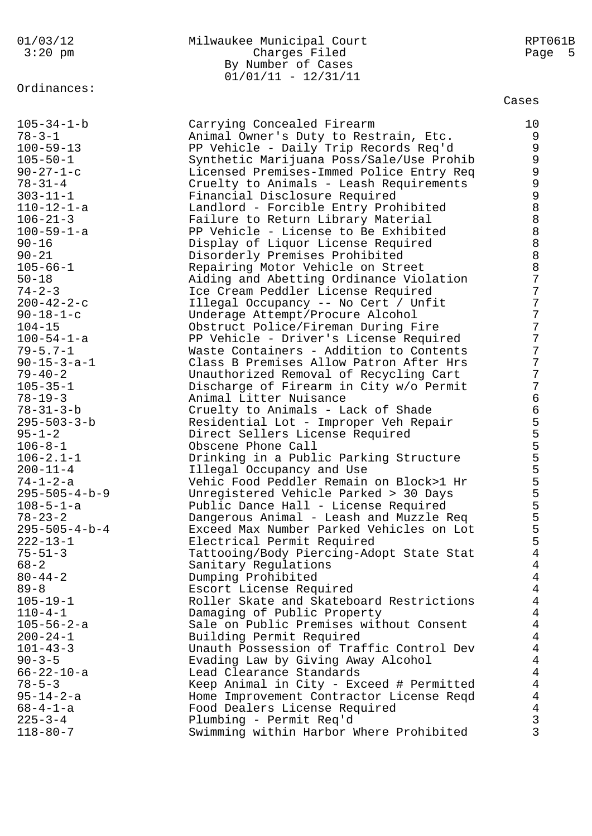## Ordinances:

#### 01/03/12 Milwaukee Municipal Court RPT061B 3:20 pm Charges Filed Page 5 By Number of Cases 01/01/11 - 12/31/11

| $105 - 34 - 1 - b$                   | Carrying Concealed Firearm                                                           | 10                               |
|--------------------------------------|--------------------------------------------------------------------------------------|----------------------------------|
| $78 - 3 - 1$                         | Animal Owner's Duty to Restrain, Etc.                                                | 9                                |
| $100 - 59 - 13$                      | PP Vehicle - Daily Trip Records Req'd                                                | 9                                |
| $105 - 50 - 1$                       | Synthetic Marijuana Poss/Sale/Use Prohib                                             | 9                                |
| $90 - 27 - 1 - c$                    | Licensed Premises-Immed Police Entry Req                                             | 9                                |
| $78 - 31 - 4$                        | Cruelty to Animals - Leash Requirements                                              | 9                                |
| $303 - 11 - 1$                       | Financial Disclosure Required                                                        | 9                                |
| $110 - 12 - 1 - a$                   | Landlord - Forcible Entry Prohibited                                                 | 8                                |
| $106 - 21 - 3$                       | Failure to Return Library Material                                                   | 8                                |
| $100 - 59 - 1 - a$                   | PP Vehicle - License to Be Exhibited                                                 | 8                                |
| $90 - 16$                            | Display of Liquor License Required                                                   | 8                                |
| $90 - 21$                            | Disorderly Premises Prohibited                                                       | 8                                |
| $105 - 66 - 1$                       | Repairing Motor Vehicle on Street                                                    | 8                                |
| $50 - 18$                            | Aiding and Abetting Ordinance Violation                                              | $\overline{7}$                   |
| $74 - 2 - 3$                         | Ice Cream Peddler License Required                                                   | 7                                |
| $200 - 42 - 2 - c$                   | Illegal Occupancy -- No Cert / Unfit                                                 | $\overline{7}$                   |
| $90 - 18 - 1 - c$                    | Underage Attempt/Procure Alcohol                                                     | $\overline{7}$                   |
| $104 - 15$                           | Obstruct Police/Fireman During Fire                                                  | $\overline{7}$                   |
| $100 - 54 - 1 - a$                   | PP Vehicle - Driver's License Required                                               | $\overline{7}$                   |
| $79 - 5.7 - 1$                       | Waste Containers - Addition to Contents                                              | $\overline{7}$                   |
| $90 - 15 - 3 - a - 1$                | Class B Premises Allow Patron After Hrs                                              | 7                                |
| $79 - 40 - 2$                        | Unauthorized Removal of Recycling Cart                                               | $\overline{7}$                   |
| $105 - 35 - 1$                       | Discharge of Firearm in City w/o Permit                                              | $\overline{7}$                   |
| $78 - 19 - 3$                        | Animal Litter Nuisance                                                               | $\overline{6}$                   |
| $78 - 31 - 3 - b$                    | Cruelty to Animals - Lack of Shade                                                   | $\epsilon$                       |
| $295 - 503 - 3 - b$                  | Residential Lot - Improper Veh Repair                                                | $\frac{5}{5}$                    |
| $95 - 1 - 2$                         | Direct Sellers License Required                                                      |                                  |
| $106 - 8 - 1$                        | Obscene Phone Call                                                                   | $\frac{5}{5}$                    |
| $106 - 2.1 - 1$                      | Drinking in a Public Parking Structure                                               |                                  |
| $200 - 11 - 4$                       | Illegal Occupancy and Use                                                            | 5                                |
| $74 - 1 - 2 - a$                     | Vehic Food Peddler Remain on Block>1 Hr                                              | 5                                |
| $295 - 505 - 4 - b - 9$              | Unregistered Vehicle Parked > 30 Days                                                | 5                                |
| $108 - 5 - 1 - a$                    | Public Dance Hall - License Required                                                 | 5                                |
| $78 - 23 - 2$                        | Dangerous Animal - Leash and Muzzle Req                                              | 5                                |
| $295 - 505 - 4 - b - 4$              | Exceed Max Number Parked Vehicles on Lot                                             | 5                                |
| $222 - 13 - 1$                       | Electrical Permit Required                                                           | 5                                |
| $75 - 51 - 3$                        | Tattooing/Body Piercing-Adopt State Stat                                             | $\overline{4}$                   |
| $68 - 2$                             | Sanitary Regulations                                                                 | $\overline{4}$                   |
| $80 - 44 - 2$                        | Dumping Prohibited                                                                   | $\overline{4}$<br>$\overline{4}$ |
| $89 - 8$                             | Escort License Required                                                              |                                  |
| $105 - 19 - 1$<br>$110 - 4 - 1$      | Roller Skate and Skateboard Restrictions                                             | $\overline{4}$<br>$\overline{4}$ |
|                                      | Damaging of Public Property                                                          | $\overline{4}$                   |
| $105 - 56 - 2 - a$<br>$200 - 24 - 1$ | Sale on Public Premises without Consent                                              | $\overline{4}$                   |
|                                      | Building Permit Required                                                             | $\overline{4}$                   |
| $101 - 43 - 3$<br>$90 - 3 - 5$       | Unauth Possession of Traffic Control Dev                                             | $\overline{4}$                   |
|                                      | Evading Law by Giving Away Alcohol                                                   | $\overline{4}$                   |
| $66 - 22 - 10 - a$<br>$78 - 5 - 3$   | Lead Clearance Standards                                                             | $\overline{4}$                   |
| $95 - 14 - 2 - a$                    | Keep Animal in City - Exceed # Permitted<br>Home Improvement Contractor License Reqd | $\overline{4}$                   |
| $68 - 4 - 1 - a$                     | Food Dealers License Required                                                        | $\overline{4}$                   |
| $225 - 3 - 4$                        | Plumbing - Permit Req'd                                                              | 3                                |
| $118 - 80 - 7$                       | Swimming within Harbor Where Prohibited                                              | 3                                |
|                                      |                                                                                      |                                  |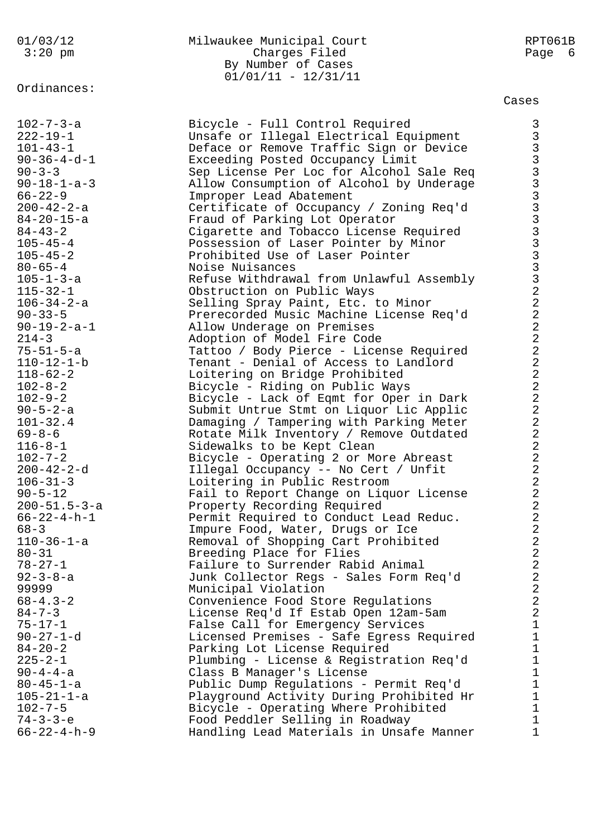#### 01/03/12 Milwaukee Municipal Court RPT061B 3:20 pm Charges Filed Page 6 By Number of Cases 01/01/11 - 12/31/11

Ordinances:

| $102 - 7 - 3 - a$     | Bicycle - Full Control Required          |                                                     |
|-----------------------|------------------------------------------|-----------------------------------------------------|
| $222 - 19 - 1$        | Unsafe or Illegal Electrical Equipment   | m m m m m m m m m m m m m                           |
| $101 - 43 - 1$        | Deface or Remove Traffic Sign or Device  |                                                     |
| $90 - 36 - 4 - d - 1$ | Exceeding Posted Occupancy Limit         |                                                     |
| $90 - 3 - 3$          | Sep License Per Loc for Alcohol Sale Req |                                                     |
| $90 - 18 - 1 - a - 3$ | Allow Consumption of Alcohol by Underage |                                                     |
| $66 - 22 - 9$         | Improper Lead Abatement                  |                                                     |
| $200 - 42 - 2 - a$    | Certificate of Occupancy / Zoning Req'd  |                                                     |
| $84 - 20 - 15 - a$    | Fraud of Parking Lot Operator            |                                                     |
| $84 - 43 - 2$         | Cigarette and Tobacco License Required   |                                                     |
| $105 - 45 - 4$        | Possession of Laser Pointer by Minor     |                                                     |
| $105 - 45 - 2$        | Prohibited Use of Laser Pointer          |                                                     |
| $80 - 65 - 4$         | Noise Nuisances                          |                                                     |
| $105 - 1 - 3 - a$     | Refuse Withdrawal from Unlawful Assembly |                                                     |
| $115 - 32 - 1$        | Obstruction on Public Ways               |                                                     |
| 106-34-2-a            | Selling Spray Paint, Etc. to Minor       |                                                     |
| $90 - 33 - 5$         | Prerecorded Music Machine License Req'd  |                                                     |
| $90 - 19 - 2 - a - 1$ | Allow Underage on Premises               |                                                     |
| $214 - 3$             | Adoption of Model Fire Code              | $\begin{array}{c}\n 2 \\ 2 \\ 2 \\ 2\n \end{array}$ |
| $75 - 51 - 5 - a$     | Tattoo / Body Pierce - License Required  |                                                     |
| $110 - 12 - 1 - b$    | Tenant - Denial of Access to Landlord    |                                                     |
| $118 - 62 - 2$        | Loitering on Bridge Prohibited           | $\begin{array}{c} 2 \\ 2 \\ 2 \end{array}$          |
| $102 - 8 - 2$         | Bicycle - Riding on Public Ways          |                                                     |
| $102 - 9 - 2$         | Bicycle - Lack of Eqmt for Oper in Dark  | $\overline{a}$                                      |
| $90 - 5 - 2 - a$      | Submit Untrue Stmt on Liquor Lic Applic  | $\overline{a}$                                      |
| $101 - 32.4$          | Damaging / Tampering with Parking Meter  | $\overline{a}$                                      |
| $69 - 8 - 6$          | Rotate Milk Inventory / Remove Outdated  |                                                     |
| $116 - 8 - 1$         | Sidewalks to be Kept Clean               | 222222222                                           |
| $102 - 7 - 2$         | Bicycle - Operating 2 or More Abreast    |                                                     |
| $200 - 42 - 2 - d$    | Illegal Occupancy -- No Cert / Unfit     |                                                     |
| $106 - 31 - 3$        | Loitering in Public Restroom             |                                                     |
| $90 - 5 - 12$         | Fail to Report Change on Liquor License  |                                                     |
| $200 - 51.5 - 3 - a$  | Property Recording Required              |                                                     |
| $66 - 22 - 4 - h - 1$ | Permit Required to Conduct Lead Reduc.   |                                                     |
| $68 - 3$              | Impure Food, Water, Drugs or Ice         |                                                     |
| $110 - 36 - 1 - a$    | Removal of Shopping Cart Prohibited      |                                                     |
| $80 - 31$             | Breeding Place for Flies                 | $\overline{2}$                                      |
| $78 - 27 - 1$         | Failure to Surrender Rabid Animal        | $\overline{2}$                                      |
| $92 - 3 - 8 - a$      | Junk Collector Regs - Sales Form Req'd   | $\overline{a}$                                      |
| 99999                 | Municipal Violation                      | $\overline{2}$                                      |
| $68 - 4.3 - 2$        | Convenience Food Store Regulations       | $\overline{a}$                                      |
| $84 - 7 - 3$          | License Req'd If Estab Open 12am-5am     | $\overline{a}$                                      |
| $75 - 17 - 1$         | False Call for Emergency Services        | $\mathbf 1$                                         |
| $90 - 27 - 1 - d$     | Licensed Premises - Safe Egress Required | $1\,$                                               |
| $84 - 20 - 2$         | Parking Lot License Required             | $1\,$                                               |
| $225 - 2 - 1$         | Plumbing - License & Registration Req'd  | $1\,$                                               |
| $90 - 4 - 4 - a$      | Class B Manager's License                | $1\,$                                               |
| $80 - 45 - 1 - a$     | Public Dump Regulations - Permit Req'd   | $\mathbf{1}$                                        |
| $105 - 21 - 1 - a$    | Playground Activity During Prohibited Hr | $\mathbf 1$                                         |
| $102 - 7 - 5$         | Bicycle - Operating Where Prohibited     | $\mathbf 1$                                         |
| $74 - 3 - 3 - e$      | Food Peddler Selling in Roadway          | 1                                                   |
| $66 - 22 - 4 - h - 9$ | Handling Lead Materials in Unsafe Manner | 1                                                   |
|                       |                                          |                                                     |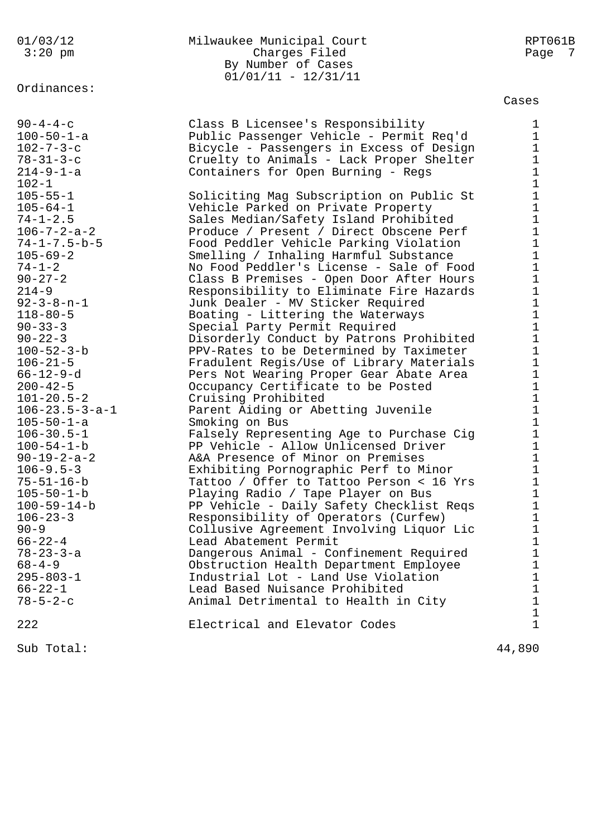Ordinances:

Sub Total: 44,890

01/03/12 Milwaukee Municipal Court RPT061B 3:20 pm Charges Filed Page 7 By Number of Cases  $01/01/11 - 12/31/11$ 

| $90 - 4 - 4 - c$<br>$100 - 50 - 1 - a$<br>$102 - 7 - 3 - c$<br>$78 - 31 - 3 - c$<br>$214 - 9 - 1 - a$<br>$102 - 1$ | Class B Licensee's Responsibility<br>Public Passenger Vehicle - Permit Req'd<br>Bicycle - Passengers in Excess of Design<br>Cruelty to Animals - Lack Proper Shelter<br>Containers for Open Burning - Regs                                                   | $\mathbf{1}$<br>$\mathbf{1}$<br>$\mathbf{1}$<br>$\mathbf 1$<br>$\mathbf{1}$<br>$\mathbf 1$ |
|--------------------------------------------------------------------------------------------------------------------|--------------------------------------------------------------------------------------------------------------------------------------------------------------------------------------------------------------------------------------------------------------|--------------------------------------------------------------------------------------------|
| $105 - 55 - 1$                                                                                                     | Soliciting Mag Subscription on Public St                                                                                                                                                                                                                     | $\mathbf{1}$                                                                               |
| $105 - 64 - 1$                                                                                                     | Vehicle Parked on Private Property                                                                                                                                                                                                                           | $\mathbf 1$                                                                                |
| $74 - 1 - 2.5$                                                                                                     | Sales Median/Safety Island Prohibited                                                                                                                                                                                                                        | $1\,$                                                                                      |
| $106 - 7 - 2 - a - 2$                                                                                              | Produce / Present / Direct Obscene Perf                                                                                                                                                                                                                      | $\mathbf{1}$                                                                               |
| $74 - 1 - 7.5 - b - 5$                                                                                             | Food Peddler Vehicle Parking Violation                                                                                                                                                                                                                       | $\mathbf{1}$                                                                               |
| $105 - 69 - 2$                                                                                                     | Smelling / Inhaling Harmful Substance                                                                                                                                                                                                                        | $\mathbf{1}$                                                                               |
| $74 - 1 - 2$                                                                                                       | No Food Peddler's License - Sale of Food                                                                                                                                                                                                                     | $\mathbf{1}$                                                                               |
| $90 - 27 - 2$                                                                                                      | Class B Premises - Open Door After Hours                                                                                                                                                                                                                     | $\mathbf 1$                                                                                |
| $214 - 9$                                                                                                          | Responsibility to Eliminate Fire Hazards                                                                                                                                                                                                                     | $\mathbf 1$                                                                                |
| $92 - 3 - 8 - n - 1$                                                                                               | Junk Dealer - MV Sticker Required                                                                                                                                                                                                                            | $\mathbf 1$                                                                                |
| $118 - 80 - 5$                                                                                                     | Boating - Littering the Waterways                                                                                                                                                                                                                            | $\mathbf{1}$                                                                               |
| $90 - 33 - 3$                                                                                                      | Special Party Permit Required                                                                                                                                                                                                                                | $\mathbf{1}$                                                                               |
| $90 - 22 - 3$                                                                                                      | Disorderly Conduct by Patrons Prohibited                                                                                                                                                                                                                     | $\mathbf{1}$                                                                               |
| $100 - 52 - 3 - b$                                                                                                 | PPV-Rates to be Determined by Taximeter                                                                                                                                                                                                                      | $\mathbf 1$                                                                                |
| $106 - 21 - 5$                                                                                                     | Fradulent Regis/Use of Library Materials                                                                                                                                                                                                                     | $\mathbf 1$                                                                                |
| $66 - 12 - 9 - d$                                                                                                  | Pers Not Wearing Proper Gear Abate Area                                                                                                                                                                                                                      | $\mathbf{1}$                                                                               |
| $200 - 42 - 5$                                                                                                     | Occupancy Certificate to be Posted                                                                                                                                                                                                                           | $\mathbf{1}$                                                                               |
| $101 - 20.5 - 2$                                                                                                   | Cruising Prohibited                                                                                                                                                                                                                                          | $\mathbf{1}$                                                                               |
| $106 - 23.5 - 3 - a - 1$                                                                                           | Parent Aiding or Abetting Juvenile                                                                                                                                                                                                                           | $\mathbf{1}$                                                                               |
| $105 - 50 - 1 - a$                                                                                                 | Smoking on Bus                                                                                                                                                                                                                                               | $\mathbf{1}$                                                                               |
| $106 - 30.5 - 1$                                                                                                   | Falsely Representing Age to Purchase Cig                                                                                                                                                                                                                     | $\mathbf{1}$                                                                               |
| $100 - 54 - 1 - b$                                                                                                 | PP Vehicle - Allow Unlicensed Driver                                                                                                                                                                                                                         | $\mathbf{1}$                                                                               |
| $90 - 19 - 2 - a - 2$                                                                                              | A&A Presence of Minor on Premises                                                                                                                                                                                                                            | $\mathbf{1}$                                                                               |
| $106 - 9.5 - 3$                                                                                                    | Exhibiting Pornographic Perf to Minor                                                                                                                                                                                                                        | $\mathbf{1}$                                                                               |
| 75-51-16-b                                                                                                         | Tattoo / Offer to Tattoo Person < 16 Yrs                                                                                                                                                                                                                     | $\mathbf{1}$                                                                               |
| $105 - 50 - 1 - b$                                                                                                 | Playing Radio / Tape Player on Bus                                                                                                                                                                                                                           | $\mathbf{1}$                                                                               |
| $100 - 59 - 14 - b$                                                                                                | PP Vehicle - Daily Safety Checklist Reqs                                                                                                                                                                                                                     | $\mathbf{1}$                                                                               |
| $106 - 23 - 3$                                                                                                     | Responsibility of Operators (Curfew)                                                                                                                                                                                                                         | $\mathbf{1}$                                                                               |
| $90 - 9$                                                                                                           | Collusive Agreement Involving Liquor Lic                                                                                                                                                                                                                     | $\mathbf{1}$                                                                               |
| $66 - 22 - 4$<br>$78 - 23 - 3 - a$<br>$68 - 4 - 9$<br>$295 - 803 - 1$<br>$66 - 22 - 1$<br>$78 - 5 - 2 - c$<br>222  | Lead Abatement Permit<br>Dangerous Animal - Confinement Required<br>Obstruction Health Department Employee<br>Industrial Lot - Land Use Violation<br>Lead Based Nuisance Prohibited<br>Animal Detrimental to Health in City<br>Electrical and Elevator Codes | $\mathbf{1}$<br>$\mathbf{1}$<br>1<br>1<br>1<br>$\mathbf 1$<br>$\mathbf 1$<br>$\mathbf{1}$  |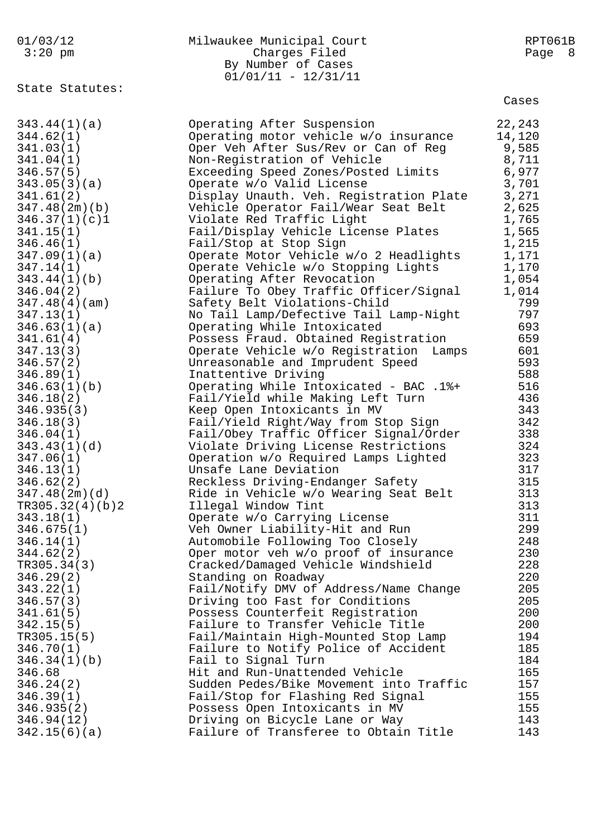# 01/03/12 Milwaukee Municipal Court RPT061B 3:20 pm Charges Filed Page 8

State Statutes:

By Number of Cases<br>01/01/11 - 12/31/11 01/01/11 - 12/31/11 343.44(1)(a) Operating After Suspension 22,243 344.62(1) Operating motor vehicle w/o insurance 14,120 341.03(1) Oper Veh After Sus/Rev or Can of Reg 9,585 341.04(1) Mon-Registration of Vehicle 8,711 346.57(5) Exceeding Speed Zones/Posted Limits 6,977 343.05(3)(a) Operate w/o Valid License 3,701 341.61(2) Display Unauth. Veh. Registration Plate 3,271 347.48(2m)(b) Vehicle Operator Fail/Wear Seat Belt 2,625  $346.37(1)(c)1$  Violate Red Traffic Light  $1,765$ 341.15(1) Fail/Display Vehicle License Plates 1,565 346.46(1) Fail/Stop at Stop Sign 1,215 347.09(1)(a) Operate Motor Vehicle w/o 2 Headlights 1,171 347.14(1) Operate Vehicle w/o Stopping Lights 1,170 343.44(1)(b) Operating After Revocation 1,054 346.04(2) Failure To Obey Traffic Officer/Signal 1,014 347.48(4)(am) Safety Belt Violations-Child 799 347.13(1) No Tail Lamp/Defective Tail Lamp-Night 797 346.63(1)(a) Operating While Intoxicated 693 341.61(4) Possess Fraud. Obtained Registration 659 347.13(3) Operate Vehicle w/o Registration Lamps 601 346.57(2) Unreasonable and Imprudent Speed 593 346.89(1) Inattentive Driving 588 346.63(1)(b) Operating While Intoxicated - BAC .1%+ 516 346.18(2) Fail/Yield while Making Left Turn 436 346.935(3) Keep Open Intoxicants in MV 343 346.18(3) Fail/Yield Right/Way from Stop Sign 342 346.04(1) Fail/Obey Traffic Officer Signal/Order 338 343.43(1)(d) Violate Driving License Restrictions 324 347.06(1) Operation w/o Required Lamps Lighted 323 346.13(1) Unsafe Lane Deviation 317

346.62(2) Reckless Driving-Endanger Safety 315 347.48(2m)(d) Ride in Vehicle w/o Wearing Seat Belt 313 TR305.32(4)(b)2 Illegal Window Tint 313

343.18(1) Operate w/o Carrying License 311 346.675(1) Veh Owner Liability-Hit and Run 299 346.14(1) Automobile Following Too Closely 248 344.62(2) Oper motor veh w/o proof of insurance 230 TR305.34(3) Cracked/Damaged Vehicle Windshield 228 346.29(2) Standing on Roadway 220 343.22(1) Fail/Notify DMV of Address/Name Change 205

346.57(3) Driving too Fast for Conditions 205 341.61(5) Possess Counterfeit Registration 200 342.15(5) Failure to Transfer Vehicle Title 200 TR305.15(5) Fail/Maintain High-Mounted Stop Lamp 194 346.70(1) Failure to Notify Police of Accident 185 346.34(1)(b) Fail to Signal Turn 184 346.68 Hit and Run-Unattended Vehicle 165 346.24(2) Sudden Pedes/Bike Movement into Traffic 157 346.39(1) Fail/Stop for Flashing Red Signal 155 346.935(2) Possess Open Intoxicants in MV 155

346.94(12) Driving on Bicycle Lane or Way 143 342.15(6)(a) Failure of Transferee to Obtain Title 143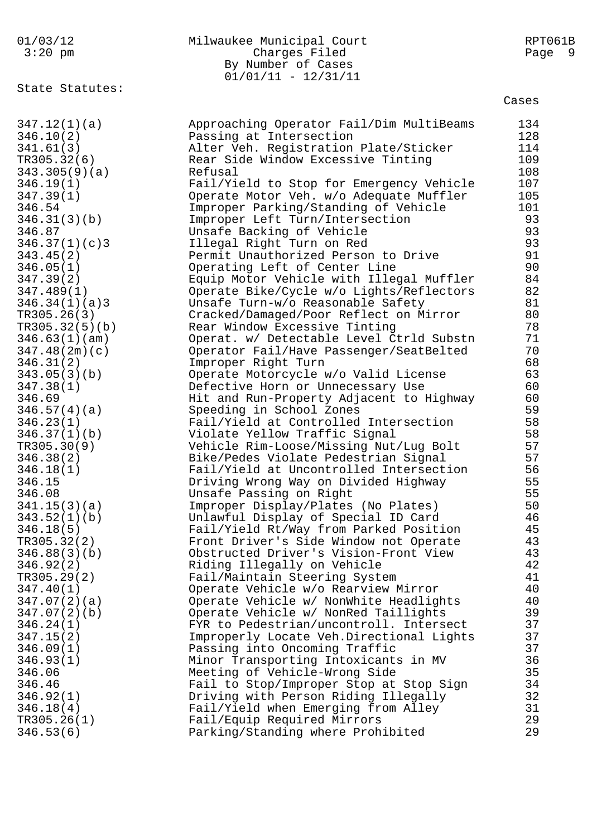| 01/03/12         | Milwaukee Municipal Court                | RPT061B |
|------------------|------------------------------------------|---------|
| $3:20$ pm        | Charges Filed                            | Page 9  |
|                  | By Number of Cases                       |         |
|                  | $01/01/11 - 12/31/11$                    |         |
| State Statutes:  |                                          |         |
|                  |                                          | Cases   |
|                  |                                          | 134     |
| 347.12(1)(a)     | Approaching Operator Fail/Dim MultiBeams |         |
| 346.10(2)        | Passing at Intersection                  | 128     |
| 341.61(3)        | Alter Veh. Registration Plate/Sticker    | 114     |
| TR305.32(6)      | Rear Side Window Excessive Tinting       | 109     |
| 343.305(9)(a)    | Refusal                                  | 108     |
| 346.19(1)        | Fail/Yield to Stop for Emergency Vehicle | 107     |
| 347.39(1)        | Operate Motor Veh. w/o Adequate Muffler  | 105     |
| 346.54           | Improper Parking/Standing of Vehicle     | 101     |
| 346.31(3)(b)     | Improper Left Turn/Intersection          | 93      |
| 346.87           | Unsafe Backing of Vehicle                | 93      |
| 346.37(1)(c)3    | Illegal Right Turn on Red                | 93      |
| 343.45(2)        | Permit Unauthorized Person to Drive      | 91      |
| 346.05(1)        | Operating Left of Center Line            | 90      |
| 347.39(2)        | Equip Motor Vehicle with Illegal Muffler | 84      |
| 347.489(1)       | Operate Bike/Cycle w/o Lights/Reflectors | 82      |
| 346.34(1)(a)3    | Unsafe Turn-w/o Reasonable Safety        | 81      |
| TR305.26(3)      | Cracked/Damaged/Poor Reflect on Mirror   | 80      |
| TR305.32(5)(b)   | Rear Window Excessive Tinting            | 78      |
| 346.63(1)(am)    | Operat. w/ Detectable Level Ctrld Substn | 71      |
| 347.48(2m)(c)    | Operator Fail/Have Passenger/SeatBelted  | 70      |
| 346.31(2)        | Improper Right Turn                      | 68      |
| 343.05(3)(b)     | Operate Motorcycle w/o Valid License     | 63      |
| 347.38(1)        | Defective Horn or Unnecessary Use        | 60      |
| 346.69           | Hit and Run-Property Adjacent to Highway | 60      |
| 346.57(4)(a)     | Speeding in School Zones                 | 59      |
| 346.23(1)        | Fail/Yield at Controlled Intersection    | 58      |
| 346.37(1)(b)     | Violate Yellow Traffic Signal            | 58      |
| TR305.30(9)      | Vehicle Rim-Loose/Missing Nut/Lug Bolt   | 57      |
|                  | Bike/Pedes Violate Pedestrian Signal     | 57      |
| 346.38(2)        |                                          | 56      |
| 346.18(1)        | Fail/Yield at Uncontrolled Intersection  |         |
| 346.15<br>346.08 | Driving Wrong Way on Divided Highway     | 55      |
|                  | Unsafe Passing on Right                  | 55      |
| 341.15(3)(a)     | Improper Display/Plates (No Plates)      | 50      |
| 343.52(1)(b)     | Unlawful Display of Special ID Card      | 46      |
| 346.18(5)        | Fail/Yield Rt/Way from Parked Position   | 45      |
| TR305.32(2)      | Front Driver's Side Window not Operate   | 43      |
| 346.88(3)(b)     | Obstructed Driver's Vision-Front View    | 43      |
| 346.92(2)        | Riding Illegally on Vehicle              | 42      |
| TR305.29(2)      | Fail/Maintain Steering System            | 41      |
| 347.40(1)        | Operate Vehicle w/o Rearview Mirror      | 40      |
| 347.07(2)(a)     | Operate Vehicle w/ NonWhite Headlights   | 40      |
| 347.07(2)(b)     | Operate Vehicle w/ NonRed Taillights     | 39      |
| 346.24(1)        | FYR to Pedestrian/uncontroll. Intersect  | 37      |
| 347.15(2)        | Improperly Locate Veh.Directional Lights | 37      |
| 346.09(1)        | Passing into Oncoming Traffic            | 37      |
| 346.93(1)        | Minor Transporting Intoxicants in MV     | 36      |
| 346.06           | Meeting of Vehicle-Wrong Side            | 35      |
| 346.46           | Fail to Stop/Improper Stop at Stop Sign  | 34      |
| 346.92(1)        | Driving with Person Riding Illegally     | 32      |
| 346.18(4)        | Fail/Yield when Emerging from Alley      | 31      |
| TR305.26(1)      | Fail/Equip Required Mirrors              | 29      |
| 346.53(6)        | Parking/Standing where Prohibited        | 29      |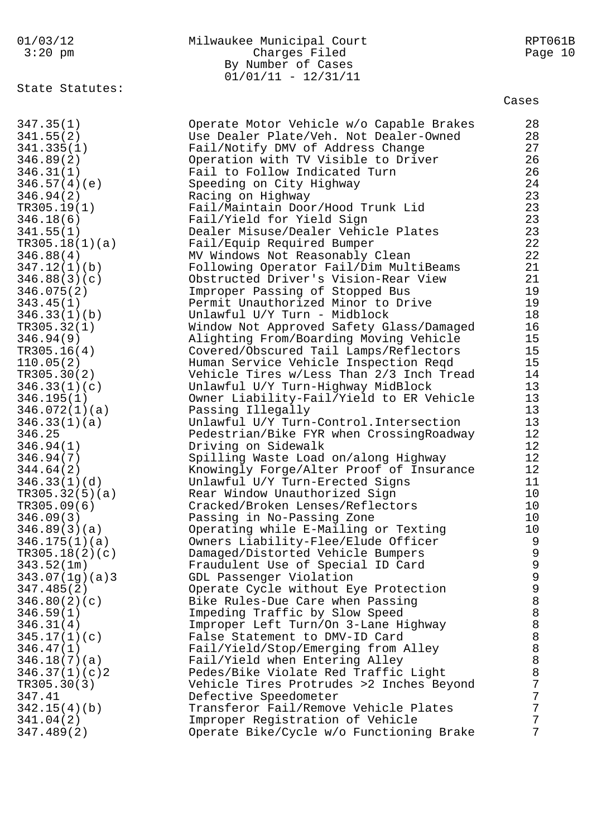|  | 01/03/12 |  |
|--|----------|--|
|  | $\cap$   |  |

| 01/03/12  | Milwaukee Municipal Court | RPT061B |
|-----------|---------------------------|---------|
| $3:20$ pm | Charges Filed             | Page 10 |
|           | By Number of Cases        |         |
|           | $01/01/11 - 12/31/11$     |         |

State Statutes:

| 347.35(1)      | Operate Motor Vehicle w/o Capable Brakes | 28          |
|----------------|------------------------------------------|-------------|
| 341.55(2)      | Use Dealer Plate/Veh. Not Dealer-Owned   | 28          |
| 341.335(1)     | Fail/Notify DMV of Address Change        | 27          |
| 346.89(2)      | Operation with TV Visible to Driver      | 26          |
| 346.31(1)      | Fail to Follow Indicated Turn            | 26          |
| 346.57(4)(e)   | Speeding on City Highway                 | 24          |
| 346.94(2)      | Racing on Highway                        | 23          |
| TR305.19(1)    | Fail/Maintain Door/Hood Trunk Lid        | 23          |
| 346.18(6)      | Fail/Yield for Yield Sign                | 23          |
| 341.55(1)      | Dealer Misuse/Dealer Vehicle Plates      | 23          |
| TR305.18(1)(a) | Fail/Equip Required Bumper               | 22          |
| 346.88(4)      | MV Windows Not Reasonably Clean          | 22          |
| 347.12(1)(b)   | Following Operator Fail/Dim MultiBeams   | 21          |
| 346.88(3)(c)   | Obstructed Driver's Vision-Rear View     | 21          |
| 346.075(2)     | Improper Passing of Stopped Bus          | 19          |
| 343.45(1)      | Permit Unauthorized Minor to Drive       | 19          |
| 346.33(1)(b)   | Unlawful U/Y Turn - Midblock             | 18          |
| TR305.32(1)    | Window Not Approved Safety Glass/Damaged | 16          |
| 346.94(9)      | Alighting From/Boarding Moving Vehicle   | 15          |
| TR305.16(4)    | Covered/Obscured Tail Lamps/Reflectors   | 15          |
| 110.05(2)      | Human Service Vehicle Inspection Reqd    | 15          |
| TR305.30(2)    | Vehicle Tires w/Less Than 2/3 Inch Tread | 14          |
| 346.33(1)(c)   | Unlawful U/Y Turn-Highway MidBlock       | 13          |
|                | Owner Liability-Fail/Yield to ER Vehicle | 13          |
| 346.195(1)     |                                          | 13          |
| 346.072(1)(a)  | Passing Illegally                        |             |
| 346.33(1)(a)   | Unlawful U/Y Turn-Control. Intersection  | 13          |
| 346.25         | Pedestrian/Bike FYR when CrossingRoadway | 12          |
| 346.94(1)      | Driving on Sidewalk                      | 12          |
| 346.94(7)      | Spilling Waste Load on/along Highway     | 12          |
| 344.64(2)      | Knowingly Forge/Alter Proof of Insurance | 12          |
| 346.33(1)(d)   | Unlawful U/Y Turn-Erected Signs          | 11          |
| TR305.32(5)(a) | Rear Window Unauthorized Sign            | 10          |
| TR305.09(6)    | Cracked/Broken Lenses/Reflectors         | 10          |
| 346.09(3)      | Passing in No-Passing Zone               | 10          |
| 346.89(3)(a)   | Operating while E-Mailing or Texting     | 10          |
| 346.175(1)(a)  | Owners Liability-Flee/Elude Officer      | 9           |
| TR305.18(2)(c) | Damaged/Distorted Vehicle Bumpers        | 9           |
| 343.52(1m)     | Fraudulent Use of Special ID Card        | $\mathsf 9$ |
| 343.07(1g)(a)3 | GDL Passenger Violation                  | $\mathsf 9$ |
| 347.485(2)     | Operate Cycle without Eye Protection     | $\mathsf 9$ |
| 346.80(2)(c)   | Bike Rules-Due Care when Passing         | 8           |
| 346.59(1)      | Impeding Traffic by Slow Speed           | 8           |
| 346.31(4)      | Improper Left Turn/On 3-Lane Highway     | 8           |
| 345.17(1)(c)   | False Statement to DMV-ID Card           | 8           |
| 346.47(1)      | Fail/Yield/Stop/Emerging from Alley      | 8           |
| 346.18(7)(a)   | Fail/Yield when Entering Alley           | 8           |
| 346.37(1)(c)2  | Pedes/Bike Violate Red Traffic Light     | 8           |
| TR305.30(3)    | Vehicle Tires Protrudes >2 Inches Beyond | 7           |
| 347.41         | Defective Speedometer                    | 7           |
| 342.15(4)(b)   | Transferor Fail/Remove Vehicle Plates    | 7           |
| 341.04(2)      | Improper Registration of Vehicle         | 7           |
| 347.489(2)     | Operate Bike/Cycle w/o Functioning Brake | 7           |
|                |                                          |             |
|                |                                          |             |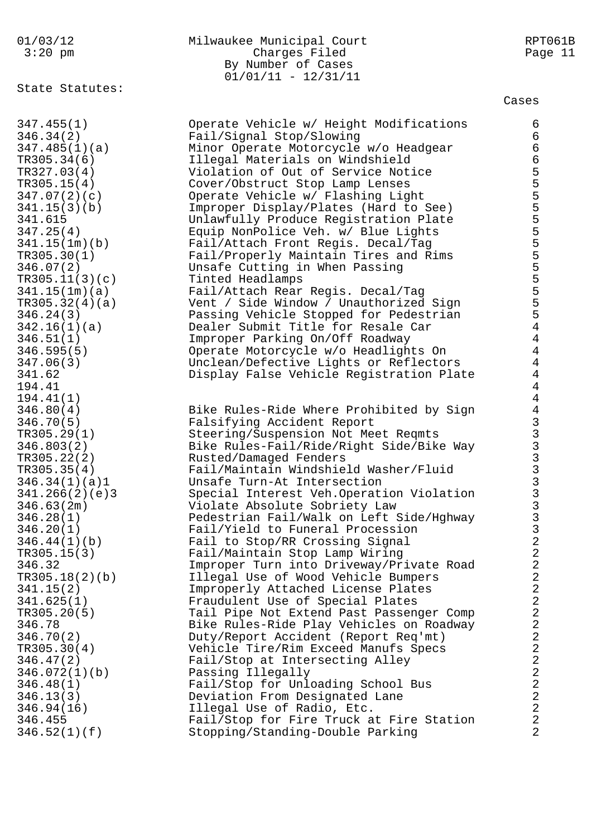### 01/03/12 Milwaukee Municipal Court RPT061B 3:20 pm Charges Filed Page 11 By Number of Cases 01/01/11 - 12/31/11

State Statutes:

Cases

347.455(1) Operate Vehicle w/ Height Modifications 6 346.34(2) Fail/Signal Stop/Slowing 6 347.485(1)(a) Minor Operate Motorcycle w/o Headgear 6 TR305.34(6) Illegal Materials on Windshield 6 TR327.03(4) Violation of Out of Service Notice 5 TR305.15(4) Cover/Obstruct Stop Lamp Lenses 5 347.07(2)(c) Operate Vehicle w/ Flashing Light 5 341.15(3)(b) Improper Display/Plates (Hard to See) 5 341.615 Unlawfully Produce Registration Plate 5 347.25(4) Equip NonPolice Veh. w/ Blue Lights 5 341.15(1m)(b) Fail/Attach Front Regis. Decal/Tag 5 TR305.30(1) Fail/Properly Maintain Tires and Rims 5 346.07(2) Unsafe Cutting in When Passing 5 TR305.11(3)(c) Tinted Headlamps 5 341.15(1m)(a) Fail/Attach Rear Regis. Decal/Tag 5 TR305.32(4)(a) Vent / Side Window / Unauthorized Sign 5 346.24(3) Passing Vehicle Stopped for Pedestrian 5 342.16(1)(a) Dealer Submit Title for Resale Car 4 346.51(1) Improper Parking On/Off Roadway 4 346.595(5) Operate Motorcycle w/o Headlights On 4 347.06(3) Unclean/Defective Lights or Reflectors 4 341.62 Display False Vehicle Registration Plate 4 194.41 4  $194.41(1)$  4 346.80(4) Bike Rules-Ride Where Prohibited by Sign 4 346.70(5) Falsifying Accident Report 3 TR305.29(1) Steering/Suspension Not Meet Reqmts 3 346.803(2) Bike Rules-Fail/Ride/Right Side/Bike Way 3 TR305.22(2) Rusted/Damaged Fenders 3 TR305.35(4) Fail/Maintain Windshield Washer/Fluid 3 346.34(1)(a)1 Unsafe Turn-At Intersection 3 341.266(2)(e)3 Special Interest Veh.Operation Violation 3 346.63(2m) Violate Absolute Sobriety Law 3 346.28(1) Pedestrian Fail/Walk on Left Side/Hghway 3 346.20(1) Fail/Yield to Funeral Procession 3 346.44(1)(b) Fail to Stop/RR Crossing Signal 2 TR305.15(3) Fail/Maintain Stop Lamp Wiring 2 346.32 Improper Turn into Driveway/Private Road 2 TR305.18(2)(b) Illegal Use of Wood Vehicle Bumpers 2 341.15(2) Improperly Attached License Plates 2 341.625(1) Fraudulent Use of Special Plates 2 TR305.20(5) Tail Pipe Not Extend Past Passenger Comp 2 346.78 Bike Rules-Ride Play Vehicles on Roadway 2 346.70(2) Duty/Report Accident (Report Req'mt) 2 TR305.30(4) Vehicle Tire/Rim Exceed Manufs Specs 2 346.47(2) Fail/Stop at Intersecting Alley 2 346.072(1)(b) Passing Illegally 2 346.48(1) Fail/Stop for Unloading School Bus 2 346.13(3) Deviation From Designated Lane 2 346.94(16) Illegal Use of Radio, Etc. 2 346.455 Fail/Stop for Fire Truck at Fire Station 2 346.52(1)(f) Stopping/Standing-Double Parking 2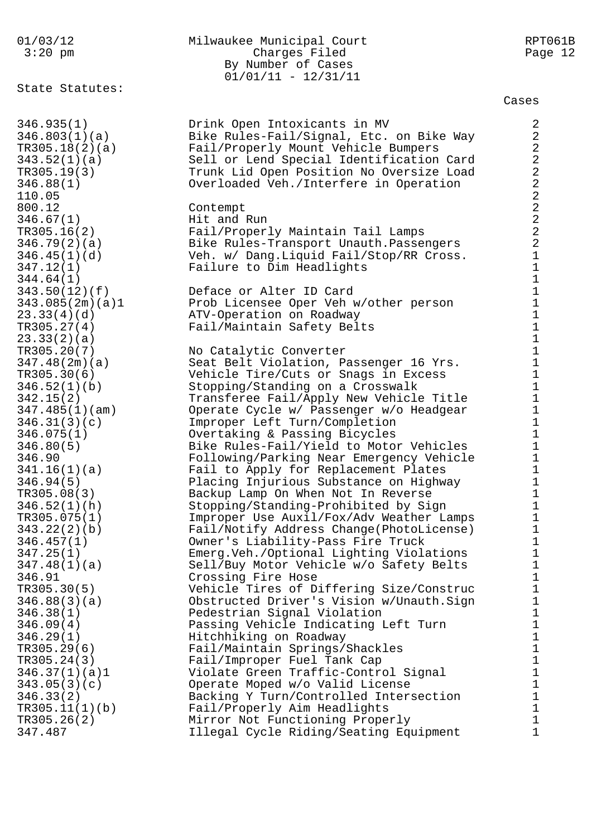### 01/03/12 Milwaukee Municipal Court RPT061B 3:20 pm Charges Filed Page 12 By Number of Cases 01/01/11 - 12/31/11

State Statutes:

| 346.935(1)<br>346.803(1)(a)<br>TR305.18(2)(a)<br>343.52(1)(a)<br>TR305.19(3)<br>346.88(1)<br>110.05        | Drink Open Intoxicants in MV<br>Bike Rules-Fail/Signal, Etc. on Bike Way<br>Fail/Properly Mount Vehicle Bumpers<br>Sell or Lend Special Identification Card<br>Trunk Lid Open Position No Oversize Load<br>Overloaded Veh./Interfere in Operation                   | $\overline{2}$<br>$\overline{2}$<br>$\overline{2}$<br>$\overline{2}$<br>$\overline{a}$<br>$\overline{2}$<br>$\overline{2}$ |
|------------------------------------------------------------------------------------------------------------|---------------------------------------------------------------------------------------------------------------------------------------------------------------------------------------------------------------------------------------------------------------------|----------------------------------------------------------------------------------------------------------------------------|
| 800.12<br>346.67(1)<br>TR305.16(2)<br>346.79(2)(a)<br>346.45(1)(d)<br>347.12(1)<br>344.64(1)               | Contempt<br>Hit and Run<br>Fail/Properly Maintain Tail Lamps<br>Bike Rules-Transport Unauth. Passengers<br>Veh. w/ Dang.Liquid Fail/Stop/RR Cross.<br>Failure to Dim Headlights                                                                                     | $\overline{a}$<br>$\overline{a}$<br>$\overline{a}$<br>$\overline{c}$<br>$1\,$<br>$1\,$<br>$\mathbf 1$                      |
| 343.50(12)(f)<br>343.085(2m)(a)1<br>23.33(4)(d)<br>TR305.27(4)<br>23.33(2)(a)                              | Deface or Alter ID Card<br>Prob Licensee Oper Veh w/other person<br>ATV-Operation on Roadway<br>Fail/Maintain Safety Belts                                                                                                                                          | $1\,$<br>$1\,$<br>$1\,$<br>$\mathbf 1$<br>$1\,$                                                                            |
| TR305.20(7)<br>347.48(2m)(a)<br>TR305.30(6)<br>346.52(1)(b)<br>342.15(2)<br>347.485(1)(am)<br>346.31(3)(c) | No Catalytic Converter<br>Seat Belt Violation, Passenger 16 Yrs.<br>Vehicle Tire/Cuts or Snags in Excess<br>Stopping/Standing on a Crosswalk<br>Transferee Fail/Apply New Vehicle Title<br>Operate Cycle w/ Passenger w/o Headgear<br>Improper Left Turn/Completion | $1\,$<br>$1\,$<br>$1\,$<br>$1\,$<br>$1\,$<br>$1\,$<br>$1\,$                                                                |
| 346.075(1)<br>346.80(5)<br>346.90<br>341.16(1)(a)<br>346.94(5)                                             | Overtaking & Passing Bicycles<br>Bike Rules-Fail/Yield to Motor Vehicles<br>Following/Parking Near Emergency Vehicle<br>Fail to Apply for Replacement Plates<br>Placing Injurious Substance on Highway                                                              | $\mathbf 1$<br>$\mathbf 1$<br>$1\,$<br>$1\,$<br>$1\,$                                                                      |
| TR305.08(3)<br>346.52(1)(h)<br>TR305.075(1)<br>343.22(2)(b)<br>346.457(1)<br>347.25(1)                     | Backup Lamp On When Not In Reverse<br>Stopping/Standing-Prohibited by Sign<br>Improper Use Auxil/Fox/Adv Weather Lamps<br>Fail/Notify Address Change(PhotoLicense)<br>Owner's Liability-Pass Fire Truck<br>Emerg. Veh. / Optional Lighting Violations               | $1\,$<br>$1\,$<br>$1\,$<br>$1\,$<br>$1\,$<br>$\mathbf{1}$                                                                  |
| 347.48(1)(a)<br>346.91<br>TR305.30(5)<br>346.88(3)(a)<br>346.38(1)                                         | Sell/Buy Motor Vehicle w/o Safety Belts<br>Crossing Fire Hose<br>Vehicle Tires of Differing Size/Construc<br>Obstructed Driver's Vision w/Unauth.Sign<br>Pedestrian Signal Violation                                                                                | 1<br>$\mathbf 1$<br>$\mathbf 1$<br>$\mathbf 1$<br>$\mathbf 1$<br>$\mathbf 1$                                               |
| 346.09(4)<br>346.29(1)<br>TR305.29(6)<br>TR305.24(3)<br>346.37(1)(a)1<br>343.05(3)(c)                      | Passing Vehicle Indicating Left Turn<br>Hitchhiking on Roadway<br>Fail/Maintain Springs/Shackles<br>Fail/Improper Fuel Tank Cap<br>Violate Green Traffic-Control Signal<br>Operate Moped w/o Valid License                                                          | $\mathbf 1$<br>$\mathbf 1$<br>$\mathbf 1$<br>$\mathbf 1$<br>$\mathbf 1$                                                    |
| 346.33(2)<br>TR305.11(1)(b)<br>TR305.26(2)<br>347.487                                                      | Backing Y Turn/Controlled Intersection<br>Fail/Properly Aim Headlights<br>Mirror Not Functioning Properly<br>Illegal Cycle Riding/Seating Equipment                                                                                                                 | $\mathbf 1$<br>$\mathbf 1$<br>$1\,$<br>$\mathbf 1$                                                                         |